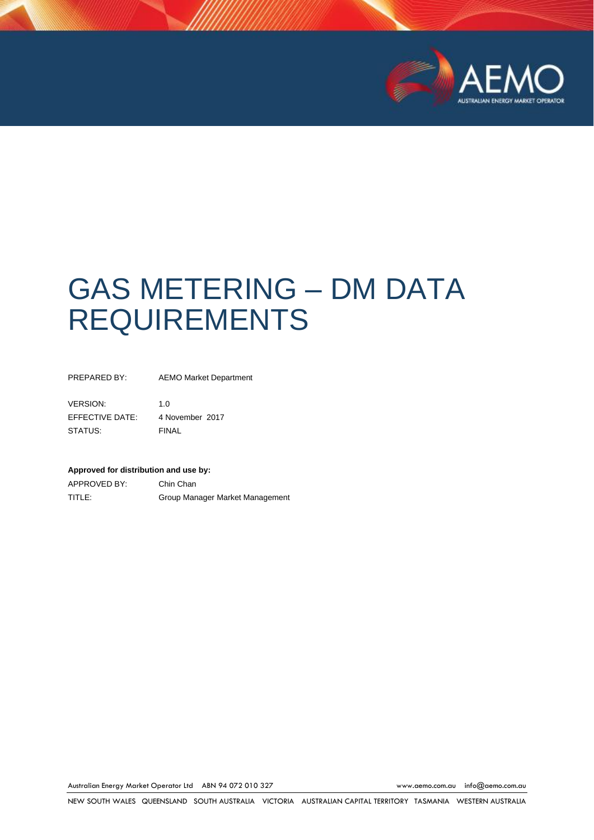

# GAS METERING – DM DATA REQUIREMENTS

PREPARED BY: AEMO Market Department

VERSION: 1.0 EFFECTIVE DATE: 4 November 2017 STATUS: FINAL

#### **Approved for distribution and use by:**

APPROVED BY: Chin Chan TITLE: Group Manager Market Management

Australian Energy Market Operator Ltd ABN 94 072 010 327 [www.aemo.com.au](http://www.aemo.com.au/) [info@aemo.com.au](mailto:info@aemo.com.au)

NEW SOUTH WALES QUEENSLAND SOUTH AUSTRALIA VICTORIA AUSTRALIAN CAPITAL TERRITORY TASMANIA WESTERN AUSTRALIA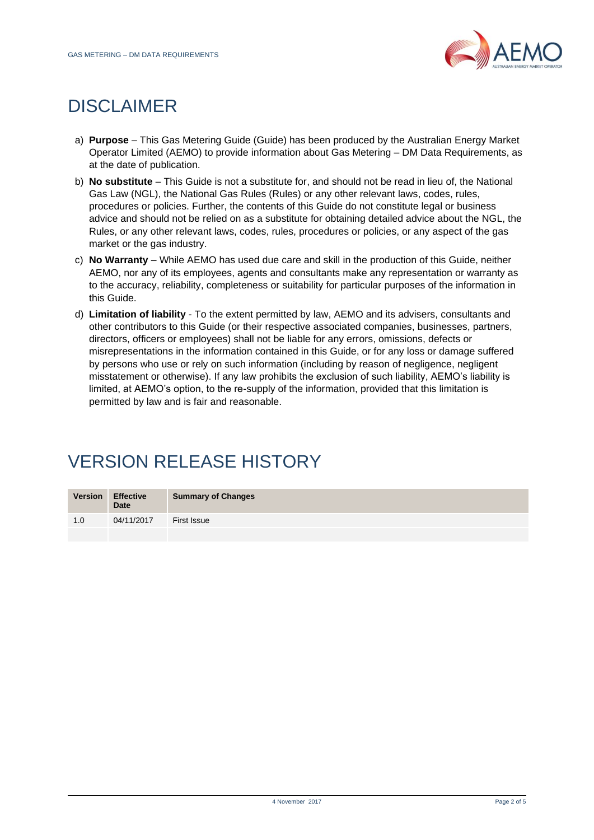

# DISCLAIMER

- a) **Purpose** This Gas Metering Guide (Guide) has been produced by the Australian Energy Market Operator Limited (AEMO) to provide information about Gas Metering – DM Data Requirements, as at the date of publication.
- b) **No substitute** This Guide is not a substitute for, and should not be read in lieu of, the National Gas Law (NGL), the National Gas Rules (Rules) or any other relevant laws, codes, rules, procedures or policies. Further, the contents of this Guide do not constitute legal or business advice and should not be relied on as a substitute for obtaining detailed advice about the NGL, the Rules, or any other relevant laws, codes, rules, procedures or policies, or any aspect of the gas market or the gas industry.
- c) **No Warranty** While AEMO has used due care and skill in the production of this Guide, neither AEMO, nor any of its employees, agents and consultants make any representation or warranty as to the accuracy, reliability, completeness or suitability for particular purposes of the information in this Guide.
- d) **Limitation of liability** To the extent permitted by law, AEMO and its advisers, consultants and other contributors to this Guide (or their respective associated companies, businesses, partners, directors, officers or employees) shall not be liable for any errors, omissions, defects or misrepresentations in the information contained in this Guide, or for any loss or damage suffered by persons who use or rely on such information (including by reason of negligence, negligent misstatement or otherwise). If any law prohibits the exclusion of such liability, AEMO's liability is limited, at AEMO's option, to the re-supply of the information, provided that this limitation is permitted by law and is fair and reasonable.

# VERSION RELEASE HISTORY

| <b>Version</b> | <b>Effective</b><br><b>Date</b> | <b>Summary of Changes</b> |
|----------------|---------------------------------|---------------------------|
| 1.0            | 04/11/2017                      | First Issue               |
|                |                                 |                           |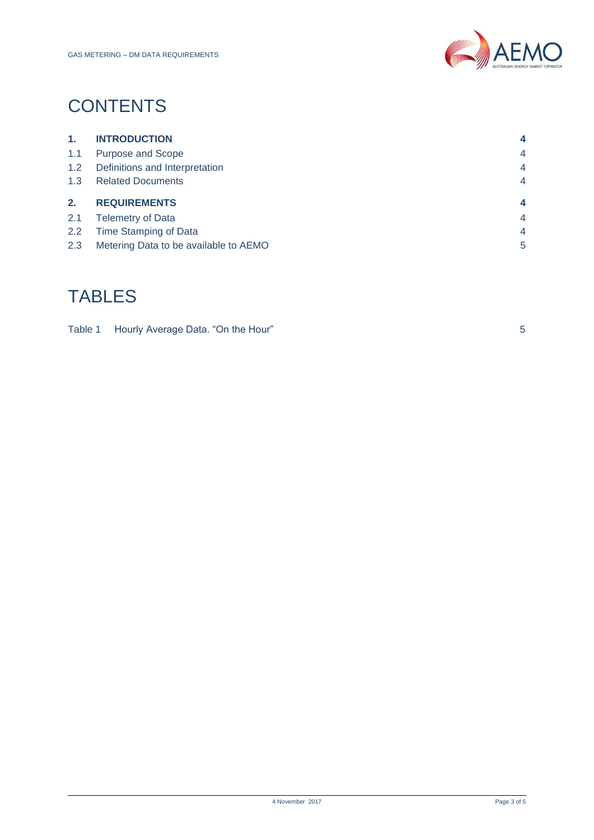

# **CONTENTS**

| 1.  | <b>INTRODUCTION</b>            | 4              |
|-----|--------------------------------|----------------|
| 1.1 | Purpose and Scope              | $\overline{4}$ |
| 1.2 | Definitions and Interpretation | $\overline{4}$ |
| 1.3 | <b>Related Documents</b>       | $\overline{4}$ |
|     |                                |                |
| 2.  | <b>REQUIREMENTS</b>            | 4              |
| 2.1 | <b>Telemetry of Data</b>       | $\overline{4}$ |
| 2.2 | Time Stamping of Data          | $\overline{4}$ |

## TABLES

| Table 1 Hourly Average Data. "On the Hour" |  |
|--------------------------------------------|--|
|                                            |  |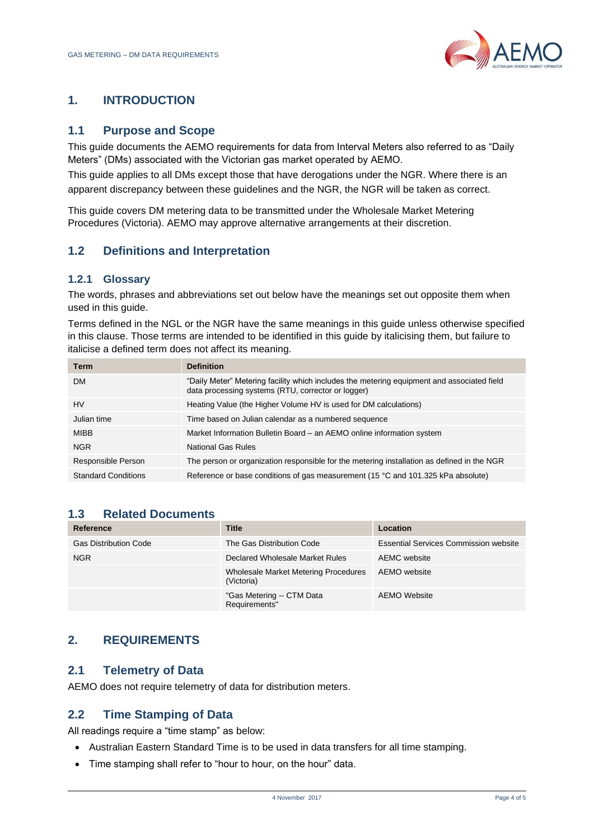

### <span id="page-3-0"></span>**1. INTRODUCTION**

#### <span id="page-3-1"></span>**1.1 Purpose and Scope**

This guide documents the AEMO requirements for data from Interval Meters also referred to as "Daily Meters" (DMs) associated with the Victorian gas market operated by AEMO.

This guide applies to all DMs except those that have derogations under the NGR. Where there is an apparent discrepancy between these guidelines and the NGR, the NGR will be taken as correct.

This guide covers DM metering data to be transmitted under the Wholesale Market Metering Procedures (Victoria). AEMO may approve alternative arrangements at their discretion.

### <span id="page-3-2"></span>**1.2 Definitions and Interpretation**

#### **1.2.1 Glossary**

The words, phrases and abbreviations set out below have the meanings set out opposite them when used in this guide.

Terms defined in the NGL or the NGR have the same meanings in this guide unless otherwise specified in this clause. Those terms are intended to be identified in this guide by italicising them, but failure to italicise a defined term does not affect its meaning.

| <b>Term</b>                | <b>Definition</b>                                                                                                                                |
|----------------------------|--------------------------------------------------------------------------------------------------------------------------------------------------|
| <b>DM</b>                  | "Daily Meter" Metering facility which includes the metering equipment and associated field<br>data processing systems (RTU, corrector or logger) |
| <b>HV</b>                  | Heating Value (the Higher Volume HV is used for DM calculations)                                                                                 |
| Julian time                | Time based on Julian calendar as a numbered sequence                                                                                             |
| <b>MIBB</b>                | Market Information Bulletin Board – an AEMO online information system                                                                            |
| <b>NGR</b>                 | National Gas Rules                                                                                                                               |
| Responsible Person         | The person or organization responsible for the metering installation as defined in the NGR                                                       |
| <b>Standard Conditions</b> | Reference or base conditions of gas measurement (15 °C and 101.325 kPa absolute)                                                                 |

### <span id="page-3-3"></span>**1.3 Related Documents**

| Reference                    | <b>Title</b>                                       | Location                                     |
|------------------------------|----------------------------------------------------|----------------------------------------------|
| <b>Gas Distribution Code</b> | The Gas Distribution Code                          | <b>Essential Services Commission website</b> |
| <b>NGR</b>                   | Declared Wholesale Market Rules                    | AEMC website                                 |
|                              | Wholesale Market Metering Procedures<br>(Victoria) | AEMO website                                 |
|                              | "Gas Metering -- CTM Data<br>Requirements"         | AEMO Website                                 |

### <span id="page-3-4"></span>**2. REQUIREMENTS**

#### <span id="page-3-5"></span>**2.1 Telemetry of Data**

AEMO does not require telemetry of data for distribution meters.

#### <span id="page-3-6"></span>**2.2 Time Stamping of Data**

All readings require a "time stamp" as below:

- Australian Eastern Standard Time is to be used in data transfers for all time stamping.
- Time stamping shall refer to "hour to hour, on the hour" data.